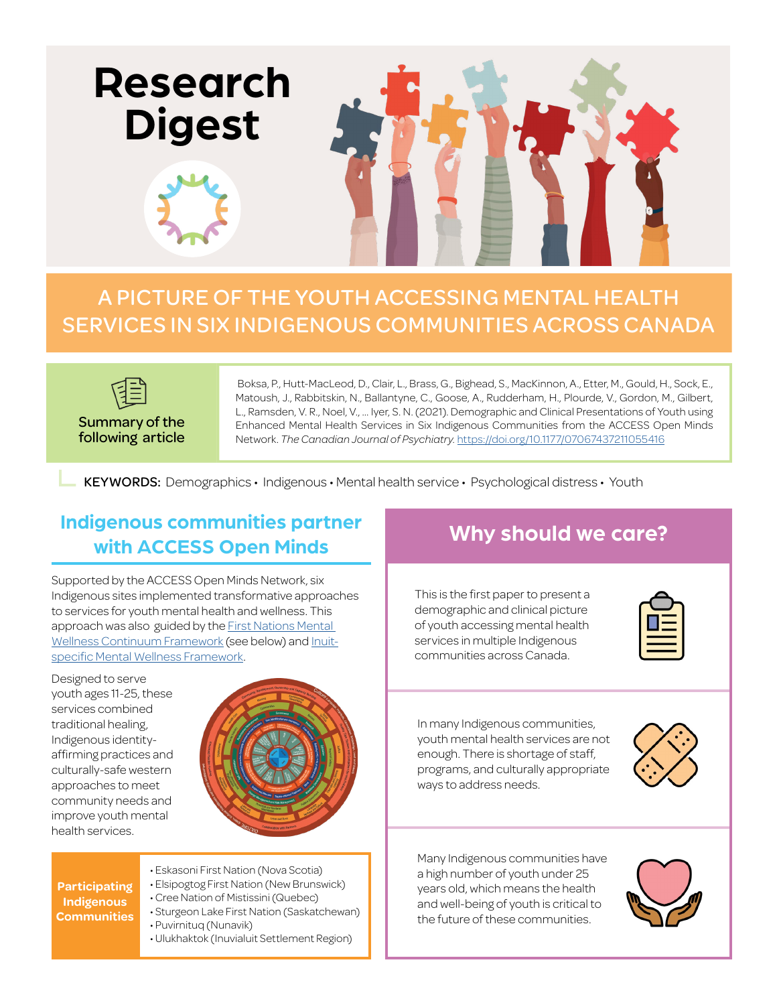

# A PICTURE OF THE YOUTH ACCESSING MENTAL HEALTH SERVICES IN SIX INDIGENOUS COMMUNITIES ACROSS CANADA

Summary of the following article

 Boksa, P., Hutt-MacLeod, D., Clair, L., Brass, G., Bighead, S., MacKinnon, A., Etter, M., Gould, H., Sock, E., Matoush, J., Rabbitskin, N., Ballantyne, C., Goose, A., Rudderham, H., Plourde, V., Gordon, M., Gilbert, L., Ramsden, V. R., Noel, V., … Iyer, S. N. (2021). Demographic and Clinical Presentations of Youth using Enhanced Mental Health Services in Six Indigenous Communities from the ACCESS Open Minds Network. *The Canadian Journal of Psychiatry.* [https://doi.org/10.1177/07067437211055416](https://journals.sagepub.com/doi/10.1177/07067437211055416)

KEYWORDS: Demographics • Indigenous • Mental health service • Psychological distress • Youth

### **Why should we care? Indigenous communities partner with ACCESS Open Minds**

Supported by the ACCESS Open Minds Network, six Indigenous sites implemented transformative approaches to services for youth mental health and wellness. This approach was also guided by the [First Nations Mental](https://thunderbirdpf.org/first-nations-mental-wellness-continuum-framework/)  [Wellness Continuum Framework](https://thunderbirdpf.org/first-nations-mental-wellness-continuum-framework/) (see below) and [Inuit](https://www.itk.ca/wp-content/uploads/2009/12/Alianait-Inuit-Mental-Wellness-Action-Plan-2009.pdf)[specific Mental Wellness Framework.](https://www.itk.ca/wp-content/uploads/2009/12/Alianait-Inuit-Mental-Wellness-Action-Plan-2009.pdf)

Designed to serve youth ages 11-25, these services combined traditional healing, Indigenous identityaffirming practices and culturally-safe western approaches to meet community needs and improve youth mental health services.

**Indigenous Communities** 



**Participating**  • Eskasoni First Nation (Nova Scotia)

- Elsipogtog First Nation (New Brunswick) • Cree Nation of Mistissini (Quebec)
- - Sturgeon Lake First Nation (Saskatchewan) • Puvirnituq (Nunavik)
	- Ulukhaktok (Inuvialuit Settlement Region)

This is the first paper to present a demographic and clinical picture of youth accessing mental health services in multiple Indigenous communities across Canada.



In many Indigenous communities, youth mental health services are not enough. There is shortage of staff, programs, and culturally appropriate ways to address needs.



Many Indigenous communities have a high number of youth under 25 years old, which means the health and well-being of youth is critical to the future of these communities.